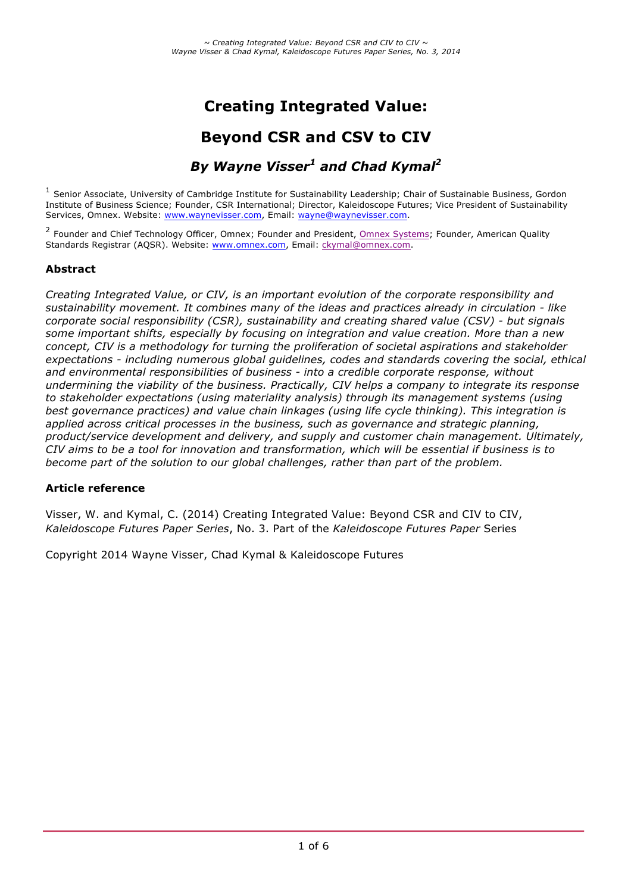# **Creating Integrated Value: Beyond CSR and CSV to CIV**

## *By Wayne Visser1 and Chad Kymal2*

 $1$  Senior Associate, University of Cambridge Institute for Sustainability Leadership; Chair of Sustainable Business, Gordon Institute of Business Science; Founder, CSR International; Director, Kaleidoscope Futures; Vice President of Sustainability Services, Omnex. Website: www.waynevisser.com, Email: wayne@waynevisser.com.

<sup>2</sup> Founder and Chief Technology Officer, Omnex; Founder and President, Omnex Systems; Founder, American Quality Standards Registrar (AQSR). Website: www.omnex.com, Email: ckymal@omnex.com.

#### **Abstract**

*Creating Integrated Value, or CIV, is an important evolution of the corporate responsibility and sustainability movement. It combines many of the ideas and practices already in circulation - like corporate social responsibility (CSR), sustainability and creating shared value (CSV) - but signals some important shifts, especially by focusing on integration and value creation. More than a new concept, CIV is a methodology for turning the proliferation of societal aspirations and stakeholder expectations - including numerous global guidelines, codes and standards covering the social, ethical and environmental responsibilities of business - into a credible corporate response, without undermining the viability of the business. Practically, CIV helps a company to integrate its response to stakeholder expectations (using materiality analysis) through its management systems (using best governance practices) and value chain linkages (using life cycle thinking). This integration is applied across critical processes in the business, such as governance and strategic planning, product/service development and delivery, and supply and customer chain management. Ultimately, CIV aims to be a tool for innovation and transformation, which will be essential if business is to become part of the solution to our global challenges, rather than part of the problem.*

#### **Article reference**

Visser, W. and Kymal, C. (2014) Creating Integrated Value: Beyond CSR and CIV to CIV, *Kaleidoscope Futures Paper Series*, No. 3. Part of the *Kaleidoscope Futures Paper* Series

Copyright 2014 Wayne Visser, Chad Kymal & Kaleidoscope Futures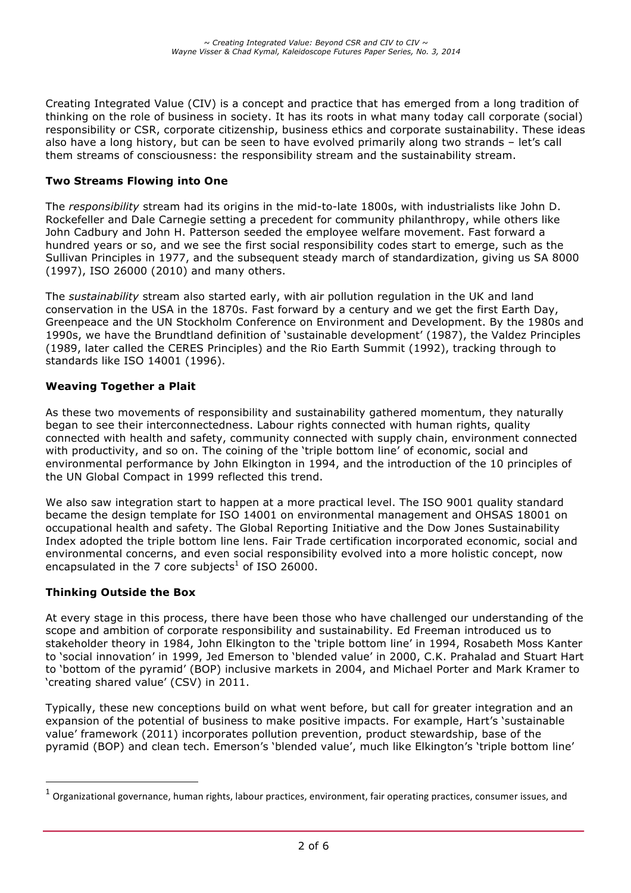Creating Integrated Value (CIV) is a concept and practice that has emerged from a long tradition of thinking on the role of business in society. It has its roots in what many today call corporate (social) responsibility or CSR, corporate citizenship, business ethics and corporate sustainability. These ideas also have a long history, but can be seen to have evolved primarily along two strands – let's call them streams of consciousness: the responsibility stream and the sustainability stream.

#### **Two Streams Flowing into One**

The *responsibility* stream had its origins in the mid-to-late 1800s, with industrialists like John D. Rockefeller and Dale Carnegie setting a precedent for community philanthropy, while others like John Cadbury and John H. Patterson seeded the employee welfare movement. Fast forward a hundred years or so, and we see the first social responsibility codes start to emerge, such as the Sullivan Principles in 1977, and the subsequent steady march of standardization, giving us SA 8000 (1997), ISO 26000 (2010) and many others.

The *sustainability* stream also started early, with air pollution regulation in the UK and land conservation in the USA in the 1870s. Fast forward by a century and we get the first Earth Day, Greenpeace and the UN Stockholm Conference on Environment and Development. By the 1980s and 1990s, we have the Brundtland definition of 'sustainable development' (1987), the Valdez Principles (1989, later called the CERES Principles) and the Rio Earth Summit (1992), tracking through to standards like ISO 14001 (1996).

#### **Weaving Together a Plait**

As these two movements of responsibility and sustainability gathered momentum, they naturally began to see their interconnectedness. Labour rights connected with human rights, quality connected with health and safety, community connected with supply chain, environment connected with productivity, and so on. The coining of the 'triple bottom line' of economic, social and environmental performance by John Elkington in 1994, and the introduction of the 10 principles of the UN Global Compact in 1999 reflected this trend.

We also saw integration start to happen at a more practical level. The ISO 9001 quality standard became the design template for ISO 14001 on environmental management and OHSAS 18001 on occupational health and safety. The Global Reporting Initiative and the Dow Jones Sustainability Index adopted the triple bottom line lens. Fair Trade certification incorporated economic, social and environmental concerns, and even social responsibility evolved into a more holistic concept, now encapsulated in the 7 core subjects<sup>1</sup> of ISO 26000.

#### **Thinking Outside the Box**

At every stage in this process, there have been those who have challenged our understanding of the scope and ambition of corporate responsibility and sustainability. Ed Freeman introduced us to stakeholder theory in 1984, John Elkington to the 'triple bottom line' in 1994, Rosabeth Moss Kanter to 'social innovation' in 1999, Jed Emerson to 'blended value' in 2000, C.K. Prahalad and Stuart Hart to 'bottom of the pyramid' (BOP) inclusive markets in 2004, and Michael Porter and Mark Kramer to 'creating shared value' (CSV) in 2011.

Typically, these new conceptions build on what went before, but call for greater integration and an expansion of the potential of business to make positive impacts. For example, Hart's 'sustainable value' framework (2011) incorporates pollution prevention, product stewardship, base of the pyramid (BOP) and clean tech. Emerson's 'blended value', much like Elkington's 'triple bottom line'

 $<sup>1</sup>$  Organizational governance, human rights, labour practices, environment, fair operating practices, consumer issues, and</sup>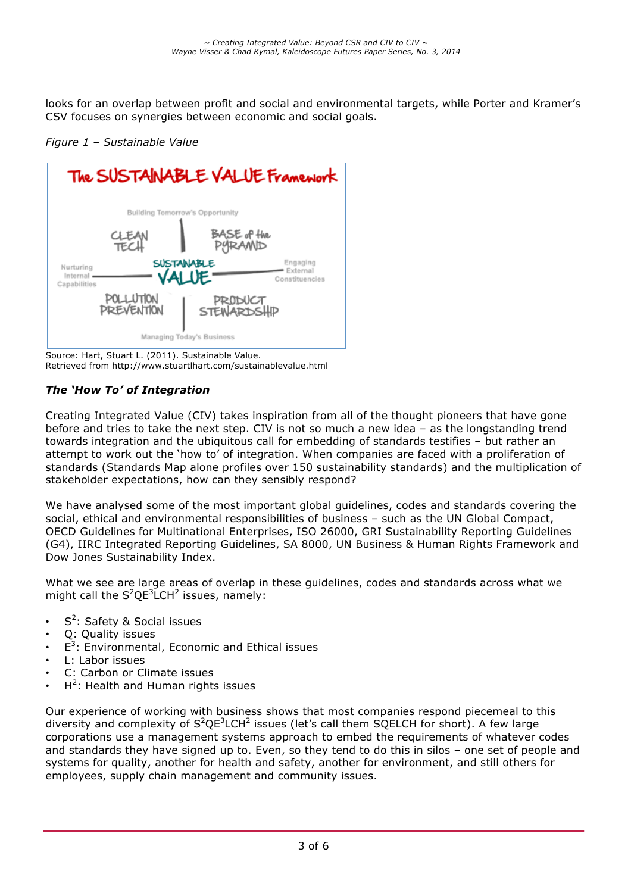looks for an overlap between profit and social and environmental targets, while Porter and Kramer's CSV focuses on synergies between economic and social goals.

*Figure 1 – Sustainable Value*



Source: Hart, Stuart L. (2011). Sustainable Value. Retrieved from http://www.stuartlhart.com/sustainablevalue.html

## *The 'How To' of Integration*

Creating Integrated Value (CIV) takes inspiration from all of the thought pioneers that have gone before and tries to take the next step. CIV is not so much a new idea – as the longstanding trend towards integration and the ubiquitous call for embedding of standards testifies – but rather an attempt to work out the 'how to' of integration. When companies are faced with a proliferation of standards (Standards Map alone profiles over 150 sustainability standards) and the multiplication of stakeholder expectations, how can they sensibly respond?

We have analysed some of the most important global guidelines, codes and standards covering the social, ethical and environmental responsibilities of business – such as the UN Global Compact, OECD Guidelines for Multinational Enterprises, ISO 26000, GRI Sustainability Reporting Guidelines (G4), IIRC Integrated Reporting Guidelines, SA 8000, UN Business & Human Rights Framework and Dow Jones Sustainability Index.

What we see are large areas of overlap in these guidelines, codes and standards across what we might call the  $S^2QE^3LCH^2$  issues, namely:

- $S^2$ : Safety & Social issues
- Q: Quality issues
- $\cdot$   $E^3$ : Environmental, Economic and Ethical issues
- L: Labor issues
- C: Carbon or Climate issues
- $\cdot$  H<sup>2</sup>: Health and Human rights issues

Our experience of working with business shows that most companies respond piecemeal to this diversity and complexity of  $S^2QE^3LCH^2$  issues (let's call them SQELCH for short). A few large corporations use a management systems approach to embed the requirements of whatever codes and standards they have signed up to. Even, so they tend to do this in silos – one set of people and systems for quality, another for health and safety, another for environment, and still others for employees, supply chain management and community issues.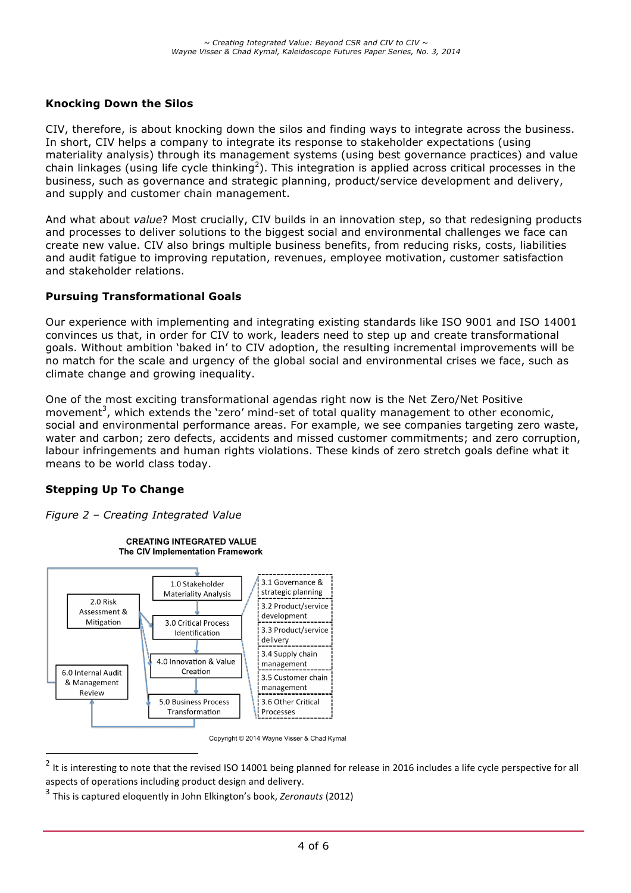#### **Knocking Down the Silos**

CIV, therefore, is about knocking down the silos and finding ways to integrate across the business. In short, CIV helps a company to integrate its response to stakeholder expectations (using materiality analysis) through its management systems (using best governance practices) and value chain linkages (using life cycle thinking<sup>2</sup>). This integration is applied across critical processes in the business, such as governance and strategic planning, product/service development and delivery, and supply and customer chain management.

And what about *value*? Most crucially, CIV builds in an innovation step, so that redesigning products and processes to deliver solutions to the biggest social and environmental challenges we face can create new value. CIV also brings multiple business benefits, from reducing risks, costs, liabilities and audit fatigue to improving reputation, revenues, employee motivation, customer satisfaction and stakeholder relations.

#### **Pursuing Transformational Goals**

Our experience with implementing and integrating existing standards like ISO 9001 and ISO 14001 convinces us that, in order for CIV to work, leaders need to step up and create transformational goals. Without ambition 'baked in' to CIV adoption, the resulting incremental improvements will be no match for the scale and urgency of the global social and environmental crises we face, such as climate change and growing inequality.

One of the most exciting transformational agendas right now is the Net Zero/Net Positive movement<sup>3</sup>, which extends the 'zero' mind-set of total quality management to other economic, social and environmental performance areas. For example, we see companies targeting zero waste, water and carbon; zero defects, accidents and missed customer commitments; and zero corruption, labour infringements and human rights violations. These kinds of zero stretch goals define what it means to be world class today.

#### **Stepping Up To Change**

 $\overline{a}$ 









 $2$  It is interesting to note that the revised ISO 14001 being planned for release in 2016 includes a life cycle perspective for all aspects of operations including product design and delivery.

<sup>&</sup>lt;sup>3</sup> This is captured eloquently in John Elkington's book, *Zeronauts* (2012)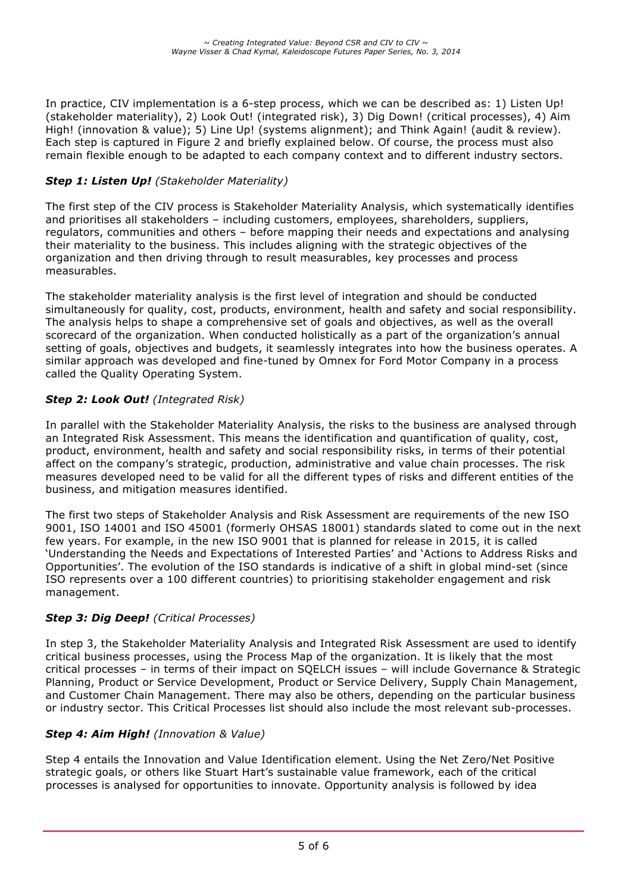In practice, CIV implementation is a 6-step process, which we can be described as: 1) Listen Up! (stakeholder materiality), 2) Look Out! (integrated risk), 3) Dig Down! (critical processes), 4) Aim High! (innovation & value); 5) Line Up! (systems alignment); and Think Again! (audit & review). Each step is captured in Figure 2 and briefly explained below. Of course, the process must also remain flexible enough to be adapted to each company context and to different industry sectors.

### *Step 1: Listen Up! (Stakeholder Materiality)*

The first step of the CIV process is Stakeholder Materiality Analysis, which systematically identifies and prioritises all stakeholders – including customers, employees, shareholders, suppliers, regulators, communities and others – before mapping their needs and expectations and analysing their materiality to the business. This includes aligning with the strategic objectives of the organization and then driving through to result measurables, key processes and process measurables.

The stakeholder materiality analysis is the first level of integration and should be conducted simultaneously for quality, cost, products, environment, health and safety and social responsibility. The analysis helps to shape a comprehensive set of goals and objectives, as well as the overall scorecard of the organization. When conducted holistically as a part of the organization's annual setting of goals, objectives and budgets, it seamlessly integrates into how the business operates. A similar approach was developed and fine-tuned by Omnex for Ford Motor Company in a process called the Quality Operating System.

## *Step 2: Look Out! (Integrated Risk)*

In parallel with the Stakeholder Materiality Analysis, the risks to the business are analysed through an Integrated Risk Assessment. This means the identification and quantification of quality, cost, product, environment, health and safety and social responsibility risks, in terms of their potential affect on the company's strategic, production, administrative and value chain processes. The risk measures developed need to be valid for all the different types of risks and different entities of the business, and mitigation measures identified.

The first two steps of Stakeholder Analysis and Risk Assessment are requirements of the new ISO 9001, ISO 14001 and ISO 45001 (formerly OHSAS 18001) standards slated to come out in the next few years. For example, in the new ISO 9001 that is planned for release in 2015, it is called 'Understanding the Needs and Expectations of Interested Parties' and 'Actions to Address Risks and Opportunities'. The evolution of the ISO standards is indicative of a shift in global mind-set (since ISO represents over a 100 different countries) to prioritising stakeholder engagement and risk management.

#### *Step 3: Dig Deep! (Critical Processes)*

In step 3, the Stakeholder Materiality Analysis and Integrated Risk Assessment are used to identify critical business processes, using the Process Map of the organization. It is likely that the most critical processes – in terms of their impact on SQELCH issues – will include Governance & Strategic Planning, Product or Service Development, Product or Service Delivery, Supply Chain Management, and Customer Chain Management. There may also be others, depending on the particular business or industry sector. This Critical Processes list should also include the most relevant sub-processes.

#### *Step 4: Aim High! (Innovation & Value)*

Step 4 entails the Innovation and Value Identification element. Using the Net Zero/Net Positive strategic goals, or others like Stuart Hart's sustainable value framework, each of the critical processes is analysed for opportunities to innovate. Opportunity analysis is followed by idea